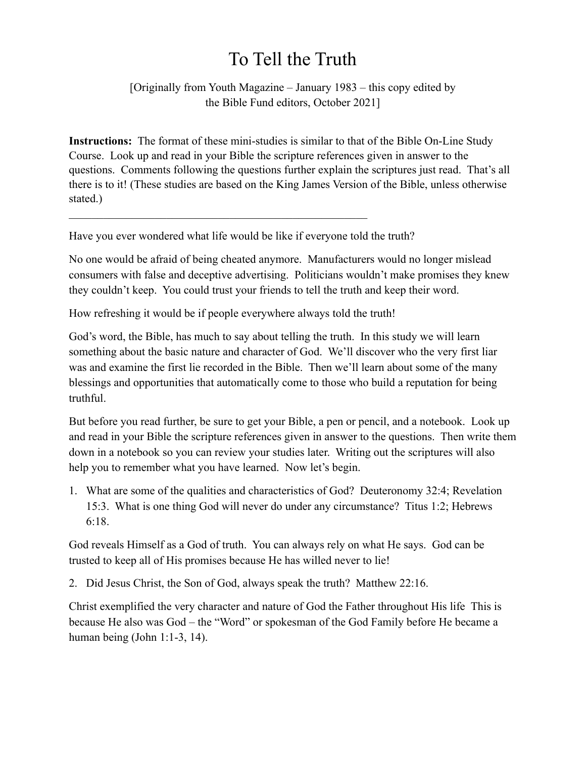## To Tell the Truth

[Originally from Youth Magazine – January 1983 – this copy edited by the Bible Fund editors, October 2021]

**Instructions:** The format of these mini-studies is similar to that of the Bible On-Line Study Course. Look up and read in your Bible the scripture references given in answer to the questions. Comments following the questions further explain the scriptures just read. That's all there is to it! (These studies are based on the King James Version of the Bible, unless otherwise stated.)

Have you ever wondered what life would be like if everyone told the truth?

 $\mathcal{L}_\text{max}$  , and the contract of the contract of the contract of the contract of the contract of the contract of

No one would be afraid of being cheated anymore. Manufacturers would no longer mislead consumers with false and deceptive advertising. Politicians wouldn't make promises they knew they couldn't keep. You could trust your friends to tell the truth and keep their word.

How refreshing it would be if people everywhere always told the truth!

God's word, the Bible, has much to say about telling the truth. In this study we will learn something about the basic nature and character of God. We'll discover who the very first liar was and examine the first lie recorded in the Bible. Then we'll learn about some of the many blessings and opportunities that automatically come to those who build a reputation for being truthful.

But before you read further, be sure to get your Bible, a pen or pencil, and a notebook. Look up and read in your Bible the scripture references given in answer to the questions. Then write them down in a notebook so you can review your studies later. Writing out the scriptures will also help you to remember what you have learned. Now let's begin.

1. What are some of the qualities and characteristics of God? Deuteronomy 32:4; Revelation 15:3. What is one thing God will never do under any circumstance? Titus 1:2; Hebrews 6:18.

God reveals Himself as a God of truth. You can always rely on what He says. God can be trusted to keep all of His promises because He has willed never to lie!

2. Did Jesus Christ, the Son of God, always speak the truth? Matthew 22:16.

Christ exemplified the very character and nature of God the Father throughout His life This is because He also was God – the "Word" or spokesman of the God Family before He became a human being (John 1:1-3, 14).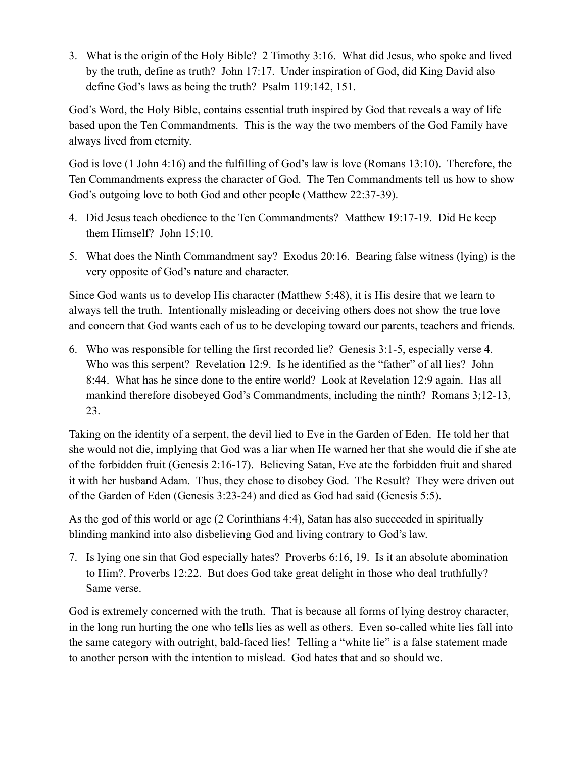3. What is the origin of the Holy Bible? 2 Timothy 3:16. What did Jesus, who spoke and lived by the truth, define as truth? John 17:17. Under inspiration of God, did King David also define God's laws as being the truth? Psalm 119:142, 151.

God's Word, the Holy Bible, contains essential truth inspired by God that reveals a way of life based upon the Ten Commandments. This is the way the two members of the God Family have always lived from eternity.

God is love (1 John 4:16) and the fulfilling of God's law is love (Romans 13:10). Therefore, the Ten Commandments express the character of God. The Ten Commandments tell us how to show God's outgoing love to both God and other people (Matthew 22:37-39).

- 4. Did Jesus teach obedience to the Ten Commandments? Matthew 19:17-19. Did He keep them Himself? John 15:10.
- 5. What does the Ninth Commandment say? Exodus 20:16. Bearing false witness (lying) is the very opposite of God's nature and character.

Since God wants us to develop His character (Matthew 5:48), it is His desire that we learn to always tell the truth. Intentionally misleading or deceiving others does not show the true love and concern that God wants each of us to be developing toward our parents, teachers and friends.

6. Who was responsible for telling the first recorded lie? Genesis 3:1-5, especially verse 4. Who was this serpent? Revelation 12:9. Is he identified as the "father" of all lies? John 8:44. What has he since done to the entire world? Look at Revelation 12:9 again. Has all mankind therefore disobeyed God's Commandments, including the ninth? Romans 3;12-13, 23.

Taking on the identity of a serpent, the devil lied to Eve in the Garden of Eden. He told her that she would not die, implying that God was a liar when He warned her that she would die if she ate of the forbidden fruit (Genesis 2:16-17). Believing Satan, Eve ate the forbidden fruit and shared it with her husband Adam. Thus, they chose to disobey God. The Result? They were driven out of the Garden of Eden (Genesis 3:23-24) and died as God had said (Genesis 5:5).

As the god of this world or age (2 Corinthians 4:4), Satan has also succeeded in spiritually blinding mankind into also disbelieving God and living contrary to God's law.

7. Is lying one sin that God especially hates? Proverbs 6:16, 19. Is it an absolute abomination to Him?. Proverbs 12:22. But does God take great delight in those who deal truthfully? Same verse.

God is extremely concerned with the truth. That is because all forms of lying destroy character, in the long run hurting the one who tells lies as well as others. Even so-called white lies fall into the same category with outright, bald-faced lies! Telling a "white lie" is a false statement made to another person with the intention to mislead. God hates that and so should we.